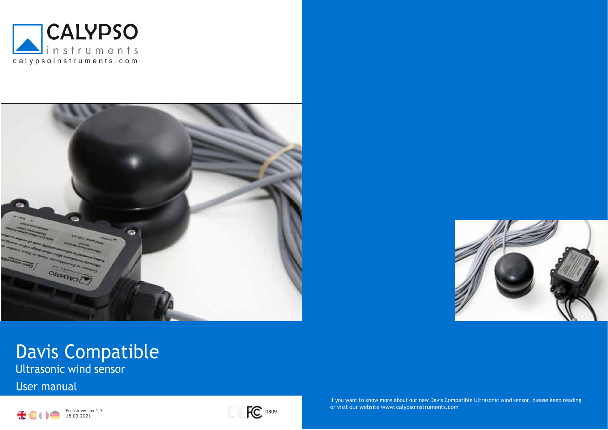





# Davis Compatible

Ultrasonic wind sensor

User manual





If you want to know more about our new Davis Compatible Ultrasonic wind sensor, please keep reading or visit our website [www.calypsoinstruments.com](http://www.calypsoinstruments.com/)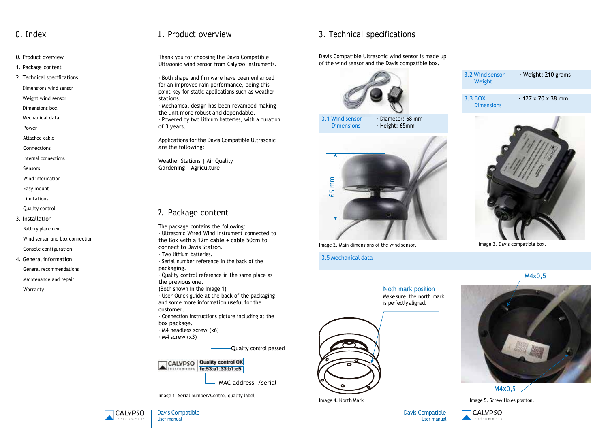- 0. Product overview
- 1. Package content
- 2. Technical specifications
- Dimensions wind sensor
- Weight wind sensor
- Dimensions box
- Mechanical data
- Power
- Attached cable
- Connections
- Internal connections
- Sensors
- Wind information
- Easy mount
- Limitations
- Quality control
- 3. Installation
	- Battery placement
	- Wind sensor and box connection
	- Console configuration
- 4. General information
	- General recommendations
- Maintenance and repair
- Warranty

Thank you for choosing the Davis Compatible Ultrasonic wind sensor from Calypso Instruments.

· Both shape and firmware have been enhanced for an improved rain performance, being this point key for static applications such as weather stations.

· Mechanical design has been revamped making the unit more robust and dependable.

· Powered by two lithium batteries, with a duration of 3 years.

Applications for the Davis Compatible Ultrasonic are the following:

Weather Stations | Air Quality Gardening | Agriculture

# 2. Package content

The package contains the following: · Ultrasonic Wired Wind Instrument connected to the Box with a 12m cable + cable 50cm to connect to Davis Station. · Two lithium batteries. · Serial number reference in the back of the packaging. · Quality control reference in the same place as the previous one. (Both shown in the Image 1) · User Quick guide at the back of the packaging

and some more information useful for the customer.

- · Connection instructions picture including at the box package.
- · M4 headless screw (x6)
- $·$  M4 screw (x3)

Quality control passed



Image 1. Serial number/Control quality label

# 0. Index 1. Product overview 3. Technical specifications

Davis Compatible Ultrasonic wind sensor is made up of the wind sensor and the Davis compatible box.







Image 2. Main dimensions of the wind sensor.

3.5 Mechanical data

3.3 BOX **Dimensions**  $\cdot$  127 x 70 x 38 mm 3.2 Wind sensor Weight · Weight: 210 grams



Image 3. Davis compatible box.

M4x0,5





Image 5. Screw Holes positon.

**CALYPSO** nstruments

Davis Compatible User manual









Image 4. North Mark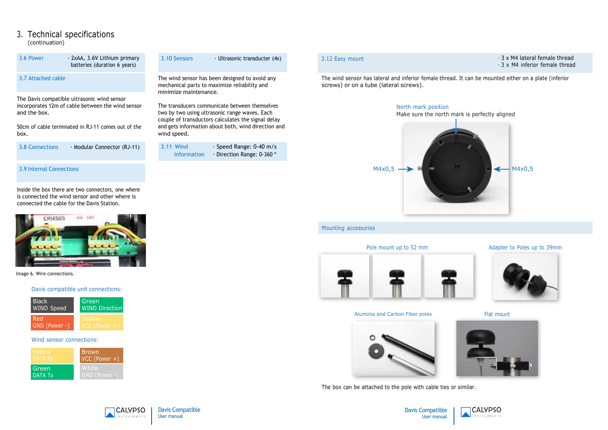## 3. Technical specifications (continuation)

| 3.6 Power                                                                                                                                                                      | · 2xAA, 3.6V Lithium primary<br>batteries (duration 6 years) | 3.10 Sensors<br>$\cdot$ Ultrasonic transducter (4x)                                                                                                                                                                         |
|--------------------------------------------------------------------------------------------------------------------------------------------------------------------------------|--------------------------------------------------------------|-----------------------------------------------------------------------------------------------------------------------------------------------------------------------------------------------------------------------------|
| 3.7 Attached cable                                                                                                                                                             |                                                              | The wind sensor has been designed to avoid any<br>mechanical parts to maximize reliability and<br>minimize maintenance.                                                                                                     |
| The Davis compatible ultrasonic wind sensor<br>incorporates 12m of cable between the wind sensor<br>and the box.<br>50cm of cable terminated in RJ-11 comes out of the<br>box. |                                                              | The transducers communicate between themselves<br>two by two using ultrasonic range waves. Each<br>couple of transductors calculates the signal delay<br>and gets information about both, wind direction and<br>wind speed. |
| 3.8 Connections                                                                                                                                                                | · Modular Connector (RJ-11)                                  | 3.11 Wind<br>$\cdot$ Speed Range: 0-40 m/s<br>· Direction Range: 0-360 °<br>information                                                                                                                                     |
| 3.9 Internal Connections                                                                                                                                                       |                                                              |                                                                                                                                                                                                                             |

Inside the box there are two connectors, one where is connected the wind sensor and other where is connected the cable for the Davis Station.



Image 6. Wire connections.

### Davis compatible unit connections:



### Wind sensor connections:

| Yellow         | <b>Brown</b>    |
|----------------|-----------------|
| DATA Rx        | $VCC (Power +)$ |
| Green          | White           |
| <b>DATA Tx</b> | GND (Power -)   |

avoid any ty and

3.12 Easy mount and the set of the set of the set of the set of the set of the set of the set of the set of the set of the set of the set of the set of the set of the set of the set of the set of the set of the set of the - 3 x M4 inferior female thread

The wind sensor has lateral and inferior female thread. It can be mounted either on a plate (inferior screws) or on a tube (lateral screws).



### Mounting accessories

### Pole mount up to 52 mm



Flat mount



Aluminio and Carbon Fiber poles

The box can be attached to the pole with cable ties or similar.



Davis Compatible User manual

**CALYPSO** 

nstruments





Adapter to Poles up to 39mm

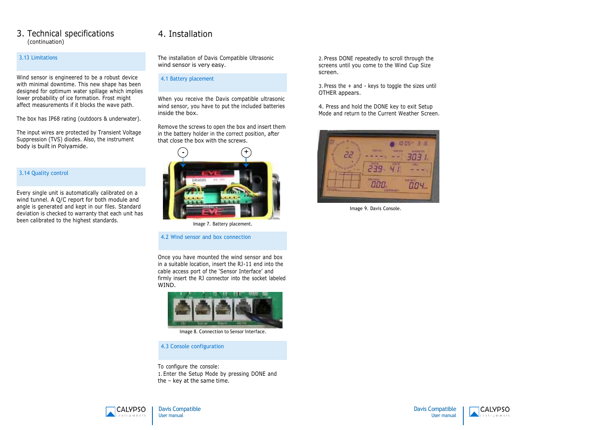## 3. Technical specifications (continuation)

### 3.13 Limitations

Wind sensor is engineered to be a robust device with minimal downtime. This new shape has been designed for optimum water spillage which implies lower probability of ice formation. Frost might affect measurements if it blocks the wave path.

The box has IP68 rating (outdoors & underwater).

The input wires are protected by Transient Voltage Suppression (TVS) diodes. Also, the instrument body is built in Polyamide.

### 3.14 Quality control

Every single unit is automatically calibrated on a wind tunnel. A Q/C report for both module and angle is generated and kept in our files. Standard deviation is checked to warranty that each unit has been calibrated to the highest standards.

# 4. Installation

The installation of Davis Compatible Ultrasonic wind sensor is very easy.

### 4.1 Battery placement

When you receive the Davis compatible ultrasonic wind sensor, you have to put the included batteries inside the box.

Remove the screws to open the box and insert them in the battery holder in the correct position, after that close the box with the screws.



Image 7. Battery placement.

4.2 Wind sensor and box connection

Once you have mounted the wind sensor and box in a suitable location, insert the RJ-11 end into the cable access port of the 'Sensor Interface' and firmly insert the RJ connector into the socket labeled WIND.



Image 8. Connection to Sensor Interface.

4.3 Console configuration

To configure the console: 1.Enter the Setup Mode by pressing DONE and the – key at the same time.

2. Press DONE repeatedly to scroll through the screens until you come to the Wind Cup Size screen.

3. Press the + and - keys to toggle the sizes until OTHER appears.

4. Press and hold the DONE key to exit Setup Mode and return to the Current Weather Screen.



Image 9. Davis Console.